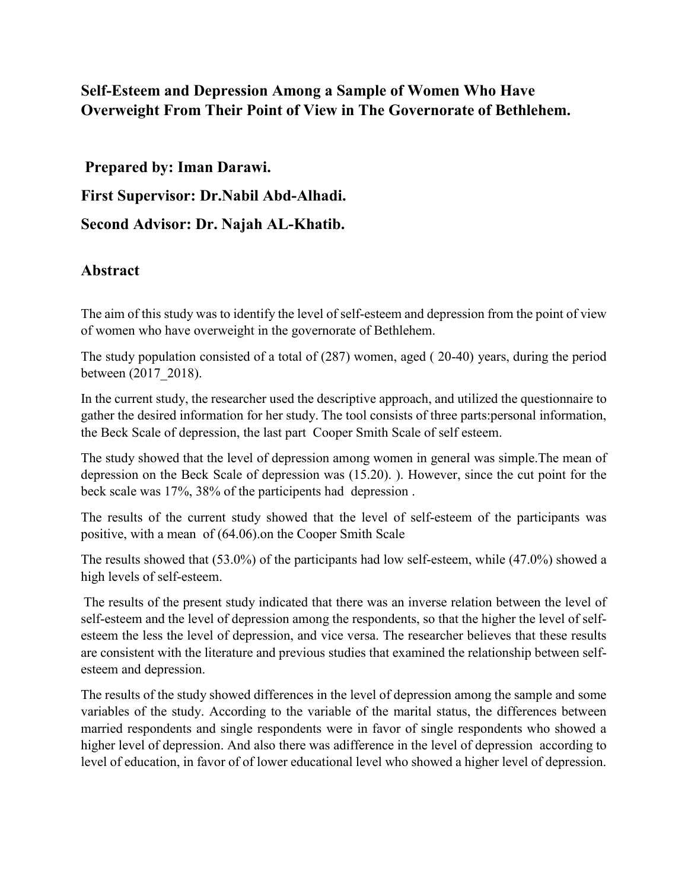## **Self-Esteem and Depression Among a Sample of Women Who Have Overweight From Their Point of View in The Governorate of Bethlehem.**

**Prepared by: Iman Darawi. First Supervisor: Dr.Nabil Abd-Alhadi. Second Advisor: Dr. Najah AL-Khatib.**

## **Abstract**

The aim of this study was to identify the level of self-esteem and depression from the point of view of women who have overweight in the governorate of Bethlehem.

The study population consisted of a total of (287) women, aged ( 20-40) years, during the period between (2017\_2018).

In the current study, the researcher used the descriptive approach, and utilized the questionnaire to gather the desired information for her study. The tool consists of three parts:personal information, the Beck Scale of depression, the last part Cooper Smith Scale of self esteem.

The study showed that the level of depression among women in general was simple.The mean of depression on the Beck Scale of depression was (15.20). ). However, since the cut point for the beck scale was 17%, 38% of the participents had depression .

The results of the current study showed that the level of self-esteem of the participants was positive, with a mean of (64.06).on the Cooper Smith Scale

The results showed that (53.0%) of the participants had low self-esteem, while (47.0%) showed a high levels of self-esteem.

The results of the present study indicated that there was an inverse relation between the level of self-esteem and the level of depression among the respondents, so that the higher the level of selfesteem the less the level of depression, and vice versa. The researcher believes that these results are consistent with the literature and previous studies that examined the relationship between selfesteem and depression.

The results of the study showed differences in the level of depression among the sample and some variables of the study. According to the variable of the marital status, the differences between married respondents and single respondents were in favor of single respondents who showed a higher level of depression. And also there was adifference in the level of depression according to level of education, in favor of of lower educational level who showed a higher level of depression.